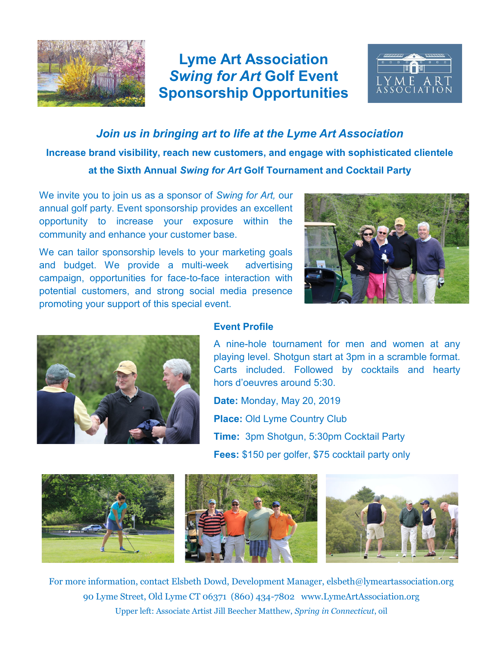

## **Lyme Art Association** *Swing for Art* **Golf Event Sponsorship Opportunities**



*Join us in bringing art to life at the Lyme Art Association* **Increase brand visibility, reach new customers, and engage with sophisticated clientele at the Sixth Annual** *Swing for Art* **Golf Tournament and Cocktail Party**

We invite you to join us as a sponsor of *Swing for Art,* our annual golf party. Event sponsorship provides an excellent opportunity to increase your exposure within the community and enhance your customer base.

We can tailor sponsorship levels to your marketing goals and budget. We provide a multi-week advertising campaign, opportunities for face-to-face interaction with potential customers, and strong social media presence promoting your support of this special event.





## **Event Profile**

A nine-hole tournament for men and women at any playing level. Shotgun start at 3pm in a scramble format. Carts included. Followed by cocktails and hearty hors d'oeuvres around 5:30.

**Date:** Monday, May 20, 2019 **Place: Old Lyme Country Club Time:** 3pm Shotgun, 5:30pm Cocktail Party **Fees:** \$150 per golfer, \$75 cocktail party only



For more information, contact Elsbeth Dowd, Development Manager, elsbeth@lymeartassociation.org 90 Lyme Street, Old Lyme CT 06371 (860) 434-7802 www.LymeArtAssociation.org Upper left: Associate Artist Jill Beecher Matthew, *Spring in Connecticut*, oil